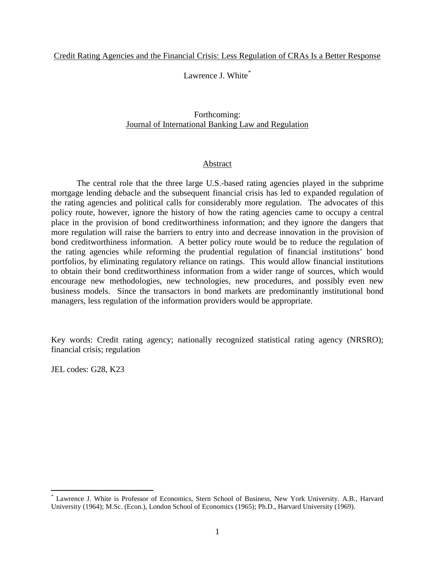Lawrence J. White[\\*](#page-0-0)

# Forthcoming: Journal of International Banking Law and Regulation

# Abstract

The central role that the three large U.S.-based rating agencies played in the subprime mortgage lending debacle and the subsequent financial crisis has led to expanded regulation of the rating agencies and political calls for considerably more regulation. The advocates of this policy route, however, ignore the history of how the rating agencies came to occupy a central place in the provision of bond creditworthiness information; and they ignore the dangers that more regulation will raise the barriers to entry into and decrease innovation in the provision of bond creditworthiness information. A better policy route would be to reduce the regulation of the rating agencies while reforming the prudential regulation of financial institutions' bond portfolios, by eliminating regulatory reliance on ratings. This would allow financial institutions to obtain their bond creditworthiness information from a wider range of sources, which would encourage new methodologies, new technologies, new procedures, and possibly even new business models. Since the transactors in bond markets are predominantly institutional bond managers, less regulation of the information providers would be appropriate.

Key words: Credit rating agency; nationally recognized statistical rating agency (NRSRO); financial crisis; regulation

JEL codes: G28, K23

<span id="page-0-0"></span>Lawrence J. White is Professor of Economics, Stern School of Business, New York University. A.B., Harvard University (1964); M.Sc. (Econ.), London School of Economics (1965); Ph.D., Harvard University (1969).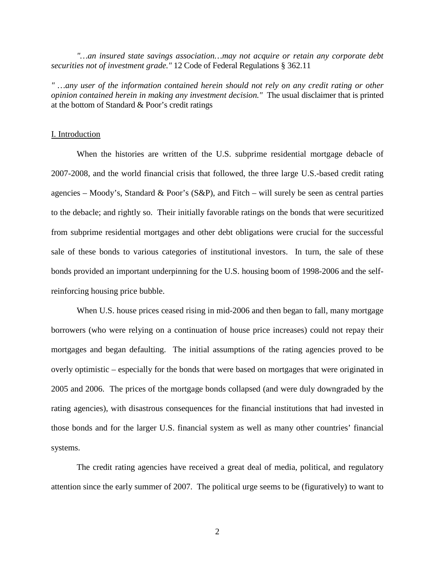*"…an insured state savings association…may not acquire or retain any corporate debt securities not of investment grade."* 12 Code of Federal Regulations § 362.11

*" …any user of the information contained herein should not rely on any credit rating or other opinion contained herein in making any investment decision."* The usual disclaimer that is printed at the bottom of Standard & Poor's credit ratings

### I. Introduction

When the histories are written of the U.S. subprime residential mortgage debacle of 2007-2008, and the world financial crisis that followed, the three large U.S.-based credit rating agencies – Moody's, Standard & Poor's  $(S\&P)$ , and Fitch – will surely be seen as central parties to the debacle; and rightly so. Their initially favorable ratings on the bonds that were securitized from subprime residential mortgages and other debt obligations were crucial for the successful sale of these bonds to various categories of institutional investors. In turn, the sale of these bonds provided an important underpinning for the U.S. housing boom of 1998-2006 and the selfreinforcing housing price bubble.

When U.S. house prices ceased rising in mid-2006 and then began to fall, many mortgage borrowers (who were relying on a continuation of house price increases) could not repay their mortgages and began defaulting. The initial assumptions of the rating agencies proved to be overly optimistic – especially for the bonds that were based on mortgages that were originated in 2005 and 2006. The prices of the mortgage bonds collapsed (and were duly downgraded by the rating agencies), with disastrous consequences for the financial institutions that had invested in those bonds and for the larger U.S. financial system as well as many other countries' financial systems.

The credit rating agencies have received a great deal of media, political, and regulatory attention since the early summer of 2007. The political urge seems to be (figuratively) to want to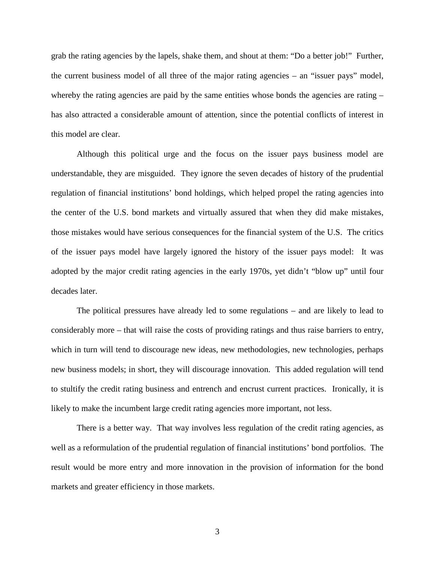grab the rating agencies by the lapels, shake them, and shout at them: "Do a better job!" Further, the current business model of all three of the major rating agencies – an "issuer pays" model, whereby the rating agencies are paid by the same entities whose bonds the agencies are rating  $$ has also attracted a considerable amount of attention, since the potential conflicts of interest in this model are clear.

Although this political urge and the focus on the issuer pays business model are understandable, they are misguided. They ignore the seven decades of history of the prudential regulation of financial institutions' bond holdings, which helped propel the rating agencies into the center of the U.S. bond markets and virtually assured that when they did make mistakes, those mistakes would have serious consequences for the financial system of the U.S. The critics of the issuer pays model have largely ignored the history of the issuer pays model: It was adopted by the major credit rating agencies in the early 1970s, yet didn't "blow up" until four decades later.

The political pressures have already led to some regulations – and are likely to lead to considerably more – that will raise the costs of providing ratings and thus raise barriers to entry, which in turn will tend to discourage new ideas, new methodologies, new technologies, perhaps new business models; in short, they will discourage innovation. This added regulation will tend to stultify the credit rating business and entrench and encrust current practices. Ironically, it is likely to make the incumbent large credit rating agencies more important, not less.

There is a better way. That way involves less regulation of the credit rating agencies, as well as a reformulation of the prudential regulation of financial institutions' bond portfolios. The result would be more entry and more innovation in the provision of information for the bond markets and greater efficiency in those markets.

3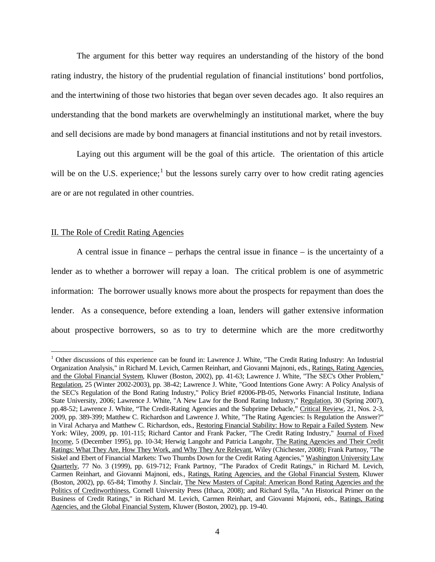The argument for this better way requires an understanding of the history of the bond rating industry, the history of the prudential regulation of financial institutions' bond portfolios, and the intertwining of those two histories that began over seven decades ago. It also requires an understanding that the bond markets are overwhelmingly an institutional market, where the buy and sell decisions are made by bond managers at financial institutions and not by retail investors.

Laying out this argument will be the goal of this article. The orientation of this article will be on the U.S. experience;<sup>[1](#page-3-0)</sup> but the lessons surely carry over to how credit rating agencies are or are not regulated in other countries.

### II. The Role of Credit Rating Agencies

A central issue in finance – perhaps the central issue in finance – is the uncertainty of a lender as to whether a borrower will repay a loan. The critical problem is one of asymmetric information: The borrower usually knows more about the prospects for repayment than does the lender. As a consequence, before extending a loan, lenders will gather extensive information about prospective borrowers, so as to try to determine which are the more creditworthy

<span id="page-3-0"></span><sup>&</sup>lt;sup>1</sup> Other discussions of this experience can be found in: Lawrence J. White, "The Credit Rating Industry: An Industrial Organization Analysis," in Richard M. Levich, Carmen Reinhart, and Giovanni Majnoni, eds., Ratings, Rating Agencies, and the Global Financial System, Kluwer (Boston, 2002), pp. 41-63; Lawrence J. White, "The SEC's Other Problem," Regulation, 25 (Winter 2002-2003), pp. 38-42; Lawrence J. White, "Good Intentions Gone Awry: A Policy Analysis of the SEC's Regulation of the Bond Rating Industry," Policy Brief #2006-PB-05, Networks Financial Institute, Indiana State University, 2006; Lawrence J. White, "A New Law for the Bond Rating Industry," Regulation, 30 (Spring 2007), pp.48-52; Lawrence J. White, "The Credit-Rating Agencies and the Subprime Debacle," Critical Review, 21, Nos. 2-3, 2009, pp. 389-399; Matthew C. Richardson and Lawrence J. White, "The Rating Agencies: Is Regulation the Answer?" in Viral Acharya and Matthew C. Richardson, eds., Restoring Financial Stability: How to Repair a Failed System. New York: Wiley, 2009, pp. 101-115; Richard Cantor and Frank Packer, "The Credit Rating Industry," Journal of Fixed Income, 5 (December 1995), pp. 10-34; Herwig Langohr and Patricia Langohr, The Rating Agencies and Their Credit Ratings: What They Are, How They Work, and Why They Are Relevant, Wiley (Chichester, 2008); Frank Partnoy, "The Siskel and Ebert of Financial Markets: Two Thumbs Down for the Credit Rating Agencies," Washington University Law Quarterly, 77 No. 3 (1999), pp. 619-712; Frank Partnoy, "The Paradox of Credit Ratings," in Richard M. Levich, Carmen Reinhart, and Giovanni Majnoni, eds., Ratings, Rating Agencies, and the Global Financial System, Kluwer (Boston, 2002), pp. 65-84; Timothy J. Sinclair, The New Masters of Capital: American Bond Rating Agencies and the Politics of Creditworthiness, Cornell University Press (Ithaca, 2008); and Richard Sylla, "An Historical Primer on the Business of Credit Ratings," in Richard M. Levich, Carmen Reinhart, and Giovanni Majnoni, eds., Ratings, Rating Agencies, and the Global Financial System, Kluwer (Boston, 2002), pp. 19-40.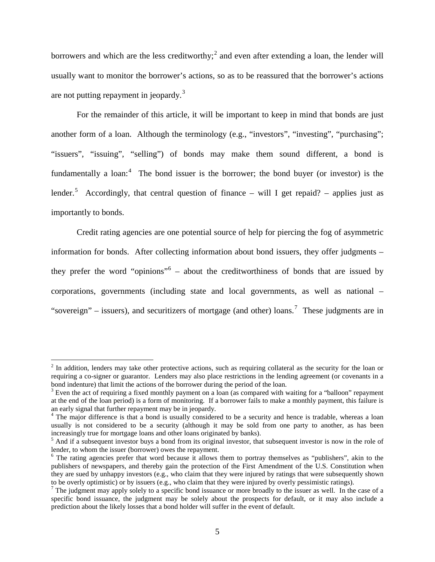borrowers and which are the less creditworthy;<sup>[2](#page-4-0)</sup> and even after extending a loan, the lender will usually want to monitor the borrower's actions, so as to be reassured that the borrower's actions are not putting repayment in jeopardy. $3$ 

For the remainder of this article, it will be important to keep in mind that bonds are just another form of a loan. Although the terminology (e.g., "investors", "investing", "purchasing"; "issuers", "issuing", "selling") of bonds may make them sound different, a bond is fundamentally a loan: $4$  The bond issuer is the borrower; the bond buyer (or investor) is the lender.<sup>[5](#page-4-3)</sup> Accordingly, that central question of finance – will I get repaid? – applies just as importantly to bonds.

Credit rating agencies are one potential source of help for piercing the fog of asymmetric information for bonds. After collecting information about bond issuers, they offer judgments – they prefer the word "opinions" [6](#page-4-4) – about the creditworthiness of bonds that are issued by corporations, governments (including state and local governments, as well as national – "sovereign" – issuers), and securitizers of mortgage (and other) loans.<sup>[7](#page-4-5)</sup> These judgments are in

<span id="page-4-0"></span> $2$  In addition, lenders may take other protective actions, such as requiring collateral as the security for the loan or requiring a co-signer or guarantor. Lenders may also place restrictions in the lending agreement (or covenants in a bond indenture) that limit the actions of the borrower during the period of the loan.

<span id="page-4-1"></span><sup>&</sup>lt;sup>3</sup> Even the act of requiring a fixed monthly payment on a loan (as compared with waiting for a "balloon" repayment at the end of the loan period) is a form of monitoring. If a borrower fails to make a monthly payment, this failure is an early signal that further repayment may be in jeopardy.

<span id="page-4-2"></span> $4$  The major difference is that a bond is usually considered to be a security and hence is tradable, whereas a loan usually is not considered to be a security (although it may be sold from one party to another, as has been increasingly true for mortgage loans and other loans originated by banks).

<span id="page-4-3"></span> $<sup>5</sup>$  And if a subsequent investor buys a bond from its original investor, that subsequent investor is now in the role of</sup> lender, to whom the issuer (borrower) owes the repayment.

<span id="page-4-4"></span><sup>&</sup>lt;sup>6</sup> The rating agencies prefer that word because it allows them to portray themselves as "publishers", akin to the publishers of newspapers, and thereby gain the protection of the First Amendment of the U.S. Constitution when they are sued by unhappy investors (e.g., who claim that they were injured by ratings that were subsequently shown<br>to be overly optimistic) or by issuers (e.g., who claim that they were injured by overly pessimistic rating

<span id="page-4-5"></span><sup>&</sup>lt;sup>7</sup> The judgment may apply solely to a specific bond issuance or more broadly to the issuer as well. In the case of a specific bond issuance, the judgment may be solely about the prospects for default, or it may also include a prediction about the likely losses that a bond holder will suffer in the event of default.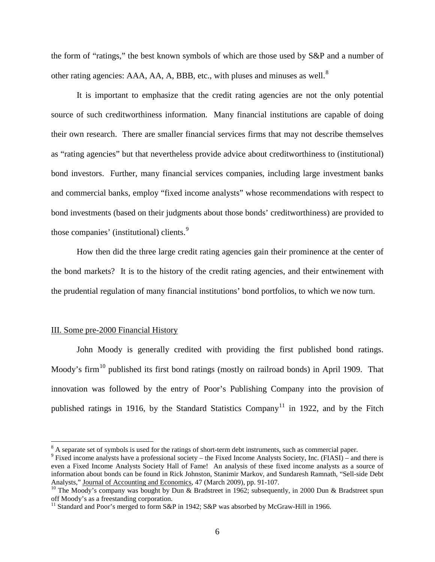the form of "ratings," the best known symbols of which are those used by S&P and a number of other rating agencies: AAA, AA, A, BBB, etc., with pluses and minuses as well.<sup>[8](#page-5-0)</sup>

It is important to emphasize that the credit rating agencies are not the only potential source of such creditworthiness information. Many financial institutions are capable of doing their own research. There are smaller financial services firms that may not describe themselves as "rating agencies" but that nevertheless provide advice about creditworthiness to (institutional) bond investors. Further, many financial services companies, including large investment banks and commercial banks, employ "fixed income analysts" whose recommendations with respect to bond investments (based on their judgments about those bonds' creditworthiness) are provided to those companies' (institutional) clients.<sup>[9](#page-5-1)</sup>

How then did the three large credit rating agencies gain their prominence at the center of the bond markets? It is to the history of the credit rating agencies, and their entwinement with the prudential regulation of many financial institutions' bond portfolios, to which we now turn.

### III. Some pre-2000 Financial History

John Moody is generally credited with providing the first published bond ratings. Moody's firm<sup>[10](#page-5-2)</sup> published its first bond ratings (mostly on railroad bonds) in April 1909. That innovation was followed by the entry of Poor's Publishing Company into the provision of published ratings in 1916, by the Standard Statistics  $\text{Compary}^{11}$  $\text{Compary}^{11}$  $\text{Compary}^{11}$  in 1922, and by the Fitch

<span id="page-5-0"></span><sup>&</sup>lt;sup>8</sup> A separate set of symbols is used for the ratings of short-term debt instruments, such as commercial paper.

<span id="page-5-1"></span><sup>9</sup> Fixed income analysts have a professional society – the Fixed Income Analysts Society, Inc. (FIASI) – and there is even a Fixed Income Analysts Society Hall of Fame! An analysis of these fixed income analysts as a source of information about bonds can be found in Rick Johnston, Stanimir Markov, and Sundaresh Ramnath, "Sell-side Debt

<span id="page-5-2"></span><sup>&</sup>lt;sup>10</sup> The Moody's company was bought by Dun & Bradstreet in 1962; subsequently, in 2000 Dun & Bradstreet spun off Moody's as a freestanding corporation.

<span id="page-5-3"></span><sup>&</sup>lt;sup>11</sup> Standard and Poor's merged to form S&P in 1942; S&P was absorbed by McGraw-Hill in 1966.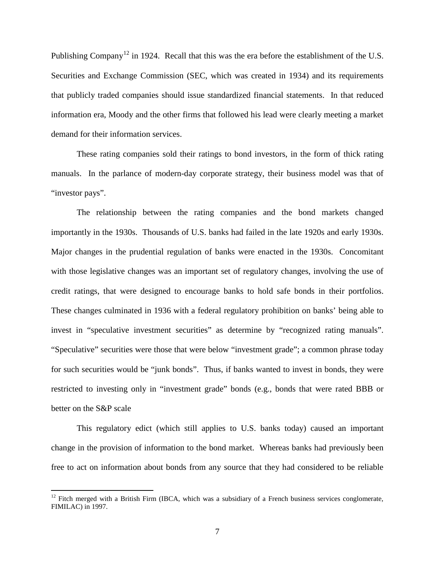Publishing Company<sup>[12](#page-6-0)</sup> in 1924. Recall that this was the era before the establishment of the U.S. Securities and Exchange Commission (SEC, which was created in 1934) and its requirements that publicly traded companies should issue standardized financial statements. In that reduced information era, Moody and the other firms that followed his lead were clearly meeting a market demand for their information services.

These rating companies sold their ratings to bond investors, in the form of thick rating manuals. In the parlance of modern-day corporate strategy, their business model was that of "investor pays".

The relationship between the rating companies and the bond markets changed importantly in the 1930s. Thousands of U.S. banks had failed in the late 1920s and early 1930s. Major changes in the prudential regulation of banks were enacted in the 1930s. Concomitant with those legislative changes was an important set of regulatory changes, involving the use of credit ratings, that were designed to encourage banks to hold safe bonds in their portfolios. These changes culminated in 1936 with a federal regulatory prohibition on banks' being able to invest in "speculative investment securities" as determine by "recognized rating manuals". "Speculative" securities were those that were below "investment grade"; a common phrase today for such securities would be "junk bonds". Thus, if banks wanted to invest in bonds, they were restricted to investing only in "investment grade" bonds (e.g., bonds that were rated BBB or better on the S&P scale

This regulatory edict (which still applies to U.S. banks today) caused an important change in the provision of information to the bond market. Whereas banks had previously been free to act on information about bonds from any source that they had considered to be reliable

<span id="page-6-0"></span> $12$  Fitch merged with a British Firm (IBCA, which was a subsidiary of a French business services conglomerate, FIMILAC) in 1997.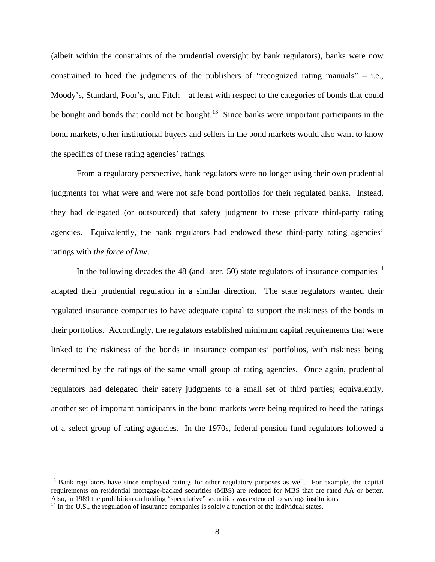(albeit within the constraints of the prudential oversight by bank regulators), banks were now constrained to heed the judgments of the publishers of "recognized rating manuals" – i.e., Moody's, Standard, Poor's, and Fitch – at least with respect to the categories of bonds that could be bought and bonds that could not be bought.<sup>[13](#page-7-0)</sup> Since banks were important participants in the bond markets, other institutional buyers and sellers in the bond markets would also want to know the specifics of these rating agencies' ratings.

From a regulatory perspective, bank regulators were no longer using their own prudential judgments for what were and were not safe bond portfolios for their regulated banks. Instead, they had delegated (or outsourced) that safety judgment to these private third-party rating agencies. Equivalently, the bank regulators had endowed these third-party rating agencies' ratings with *the force of law*.

In the following decades the 48 (and later, 50) state regulators of insurance companies<sup>[14](#page-7-1)</sup> adapted their prudential regulation in a similar direction. The state regulators wanted their regulated insurance companies to have adequate capital to support the riskiness of the bonds in their portfolios. Accordingly, the regulators established minimum capital requirements that were linked to the riskiness of the bonds in insurance companies' portfolios, with riskiness being determined by the ratings of the same small group of rating agencies. Once again, prudential regulators had delegated their safety judgments to a small set of third parties; equivalently, another set of important participants in the bond markets were being required to heed the ratings of a select group of rating agencies. In the 1970s, federal pension fund regulators followed a

<span id="page-7-0"></span><sup>&</sup>lt;sup>13</sup> Bank regulators have since employed ratings for other regulatory purposes as well. For example, the capital requirements on residential mortgage-backed securities (MBS) are reduced for MBS that are rated AA or better. Also, in 1989 the prohibition on holding "speculative" securities was extended to savings institutions.

<span id="page-7-1"></span> $<sup>14</sup>$  In the U.S., the regulation of insurance companies is solely a function of the individual states.</sup>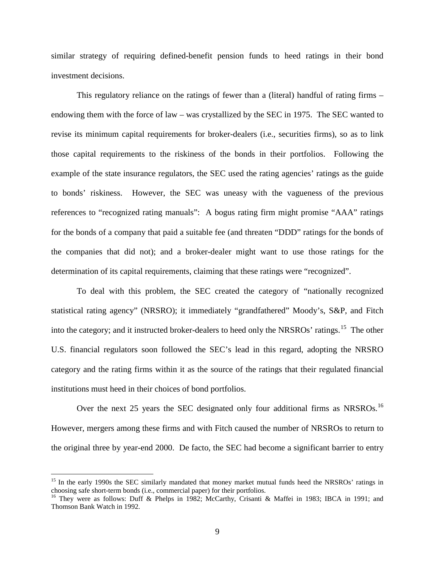similar strategy of requiring defined-benefit pension funds to heed ratings in their bond investment decisions.

This regulatory reliance on the ratings of fewer than a (literal) handful of rating firms – endowing them with the force of law – was crystallized by the SEC in 1975. The SEC wanted to revise its minimum capital requirements for broker-dealers (i.e., securities firms), so as to link those capital requirements to the riskiness of the bonds in their portfolios. Following the example of the state insurance regulators, the SEC used the rating agencies' ratings as the guide to bonds' riskiness. However, the SEC was uneasy with the vagueness of the previous references to "recognized rating manuals": A bogus rating firm might promise "AAA" ratings for the bonds of a company that paid a suitable fee (and threaten "DDD" ratings for the bonds of the companies that did not); and a broker-dealer might want to use those ratings for the determination of its capital requirements, claiming that these ratings were "recognized".

To deal with this problem, the SEC created the category of "nationally recognized statistical rating agency" (NRSRO); it immediately "grandfathered" Moody's, S&P, and Fitch into the category; and it instructed broker-dealers to heed only the NRSROs' ratings.<sup>[15](#page-8-0)</sup> The other U.S. financial regulators soon followed the SEC's lead in this regard, adopting the NRSRO category and the rating firms within it as the source of the ratings that their regulated financial institutions must heed in their choices of bond portfolios.

Over the next 25 years the SEC designated only four additional firms as NRSROs.<sup>[16](#page-8-1)</sup> However, mergers among these firms and with Fitch caused the number of NRSROs to return to the original three by year-end 2000. De facto, the SEC had become a significant barrier to entry

<span id="page-8-0"></span><sup>&</sup>lt;sup>15</sup> In the early 1990s the SEC similarly mandated that money market mutual funds heed the NRSROs' ratings in choosing safe short-term bonds (i.e., commercial paper) for their portfolios.

<span id="page-8-1"></span><sup>&</sup>lt;sup>16</sup> They were as follows: Duff & Phelps in 1982; McCarthy, Crisanti & Maffei in 1983; IBCA in 1991; and Thomson Bank Watch in 1992.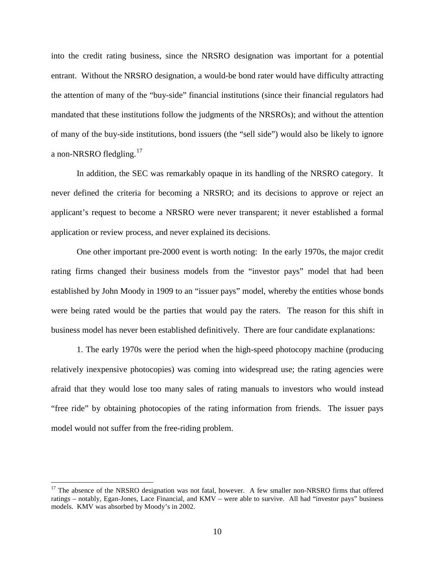into the credit rating business, since the NRSRO designation was important for a potential entrant. Without the NRSRO designation, a would-be bond rater would have difficulty attracting the attention of many of the "buy-side" financial institutions (since their financial regulators had mandated that these institutions follow the judgments of the NRSROs); and without the attention of many of the buy-side institutions, bond issuers (the "sell side") would also be likely to ignore a non-NRSRO fledgling.<sup>[17](#page-9-0)</sup>

In addition, the SEC was remarkably opaque in its handling of the NRSRO category. It never defined the criteria for becoming a NRSRO; and its decisions to approve or reject an applicant's request to become a NRSRO were never transparent; it never established a formal application or review process, and never explained its decisions.

One other important pre-2000 event is worth noting: In the early 1970s, the major credit rating firms changed their business models from the "investor pays" model that had been established by John Moody in 1909 to an "issuer pays" model, whereby the entities whose bonds were being rated would be the parties that would pay the raters. The reason for this shift in business model has never been established definitively. There are four candidate explanations:

1. The early 1970s were the period when the high-speed photocopy machine (producing relatively inexpensive photocopies) was coming into widespread use; the rating agencies were afraid that they would lose too many sales of rating manuals to investors who would instead "free ride" by obtaining photocopies of the rating information from friends. The issuer pays model would not suffer from the free-riding problem.

<span id="page-9-0"></span> $17$  The absence of the NRSRO designation was not fatal, however. A few smaller non-NRSRO firms that offered ratings – notably, Egan-Jones, Lace Financial, and KMV – were able to survive. All had "investor pays" business models. KMV was absorbed by Moody's in 2002.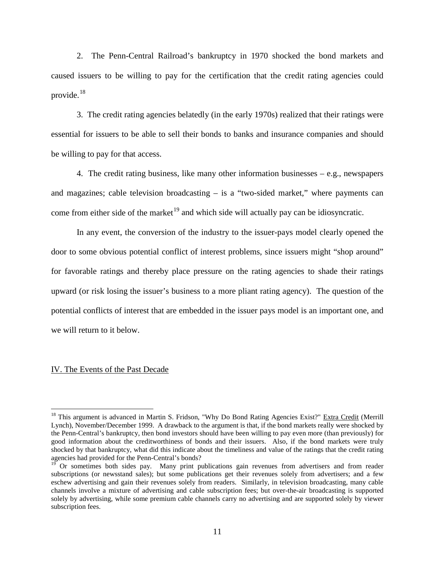2. The Penn-Central Railroad's bankruptcy in 1970 shocked the bond markets and caused issuers to be willing to pay for the certification that the credit rating agencies could provide. $18$ 

3. The credit rating agencies belatedly (in the early 1970s) realized that their ratings were essential for issuers to be able to sell their bonds to banks and insurance companies and should be willing to pay for that access.

4. The credit rating business, like many other information businesses – e.g., newspapers and magazines; cable television broadcasting – is a "two-sided market," where payments can come from either side of the market<sup>[19](#page-10-1)</sup> and which side will actually pay can be idiosyncratic.

In any event, the conversion of the industry to the issuer-pays model clearly opened the door to some obvious potential conflict of interest problems, since issuers might "shop around" for favorable ratings and thereby place pressure on the rating agencies to shade their ratings upward (or risk losing the issuer's business to a more pliant rating agency). The question of the potential conflicts of interest that are embedded in the issuer pays model is an important one, and we will return to it below.

#### IV. The Events of the Past Decade

<span id="page-10-0"></span><sup>&</sup>lt;sup>18</sup> This argument is advanced in Martin S. Fridson, "Why Do Bond Rating Agencies Exist?" Extra Credit (Merrill Lynch), November/December 1999. A drawback to the argument is that, if the bond markets really were shocked by the Penn-Central's bankruptcy, then bond investors should have been willing to pay even more (than previously) for good information about the creditworthiness of bonds and their issuers. Also, if the bond markets were truly shocked by that bankruptcy, what did this indicate about the timeliness and value of the ratings that the credit rating agencies had provided for the Penn-Central's bonds?

<span id="page-10-1"></span><sup>19</sup> Or sometimes both sides pay. Many print publications gain revenues from advertisers and from reader subscriptions (or newsstand sales); but some publications get their revenues solely from advertisers; and a few eschew advertising and gain their revenues solely from readers. Similarly, in television broadcasting, many cable channels involve a mixture of advertising and cable subscription fees; but over-the-air broadcasting is supported solely by advertising, while some premium cable channels carry no advertising and are supported solely by viewer subscription fees.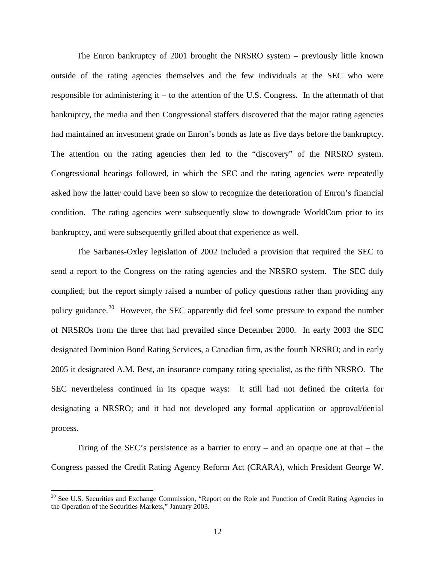The Enron bankruptcy of 2001 brought the NRSRO system – previously little known outside of the rating agencies themselves and the few individuals at the SEC who were responsible for administering it – to the attention of the U.S. Congress. In the aftermath of that bankruptcy, the media and then Congressional staffers discovered that the major rating agencies had maintained an investment grade on Enron's bonds as late as five days before the bankruptcy. The attention on the rating agencies then led to the "discovery" of the NRSRO system. Congressional hearings followed, in which the SEC and the rating agencies were repeatedly asked how the latter could have been so slow to recognize the deterioration of Enron's financial condition. The rating agencies were subsequently slow to downgrade WorldCom prior to its bankruptcy, and were subsequently grilled about that experience as well.

The Sarbanes-Oxley legislation of 2002 included a provision that required the SEC to send a report to the Congress on the rating agencies and the NRSRO system. The SEC duly complied; but the report simply raised a number of policy questions rather than providing any policy guidance.<sup>[20](#page-11-0)</sup> However, the SEC apparently did feel some pressure to expand the number of NRSROs from the three that had prevailed since December 2000. In early 2003 the SEC designated Dominion Bond Rating Services, a Canadian firm, as the fourth NRSRO; and in early 2005 it designated A.M. Best, an insurance company rating specialist, as the fifth NRSRO. The SEC nevertheless continued in its opaque ways: It still had not defined the criteria for designating a NRSRO; and it had not developed any formal application or approval/denial process.

Tiring of the SEC's persistence as a barrier to entry – and an opaque one at that – the Congress passed the Credit Rating Agency Reform Act (CRARA), which President George W.

<span id="page-11-0"></span><sup>&</sup>lt;sup>20</sup> See U.S. Securities and Exchange Commission, "Report on the Role and Function of Credit Rating Agencies in the Operation of the Securities Markets," January 2003.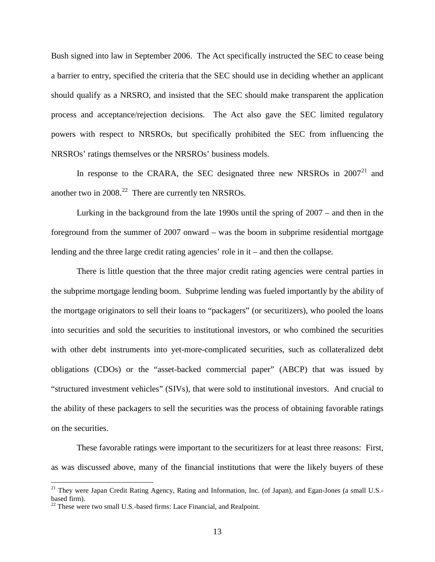Bush signed into law in September 2006. The Act specifically instructed the SEC to cease being a barrier to entry, specified the criteria that the SEC should use in deciding whether an applicant should qualify as a NRSRO, and insisted that the SEC should make transparent the application process and acceptance/rejection decisions. The Act also gave the SEC limited regulatory powers with respect to NRSROs, but specifically prohibited the SEC from influencing the NRSROs' ratings themselves or the NRSROs' business models.

In response to the CRARA, the SEC designated three new NRSROs in  $2007<sup>21</sup>$  $2007<sup>21</sup>$  $2007<sup>21</sup>$  and another two in  $2008.<sup>22</sup>$  $2008.<sup>22</sup>$  $2008.<sup>22</sup>$  There are currently ten NRSROs.

Lurking in the background from the late 1990s until the spring of 2007 – and then in the foreground from the summer of 2007 onward – was the boom in subprime residential mortgage lending and the three large credit rating agencies' role in it – and then the collapse.

There is little question that the three major credit rating agencies were central parties in the subprime mortgage lending boom. Subprime lending was fueled importantly by the ability of the mortgage originators to sell their loans to "packagers" (or securitizers), who pooled the loans into securities and sold the securities to institutional investors, or who combined the securities with other debt instruments into yet-more-complicated securities, such as collateralized debt obligations (CDOs) or the "asset-backed commercial paper" (ABCP) that was issued by "structured investment vehicles" (SIVs), that were sold to institutional investors. And crucial to the ability of these packagers to sell the securities was the process of obtaining favorable ratings on the securities.

These favorable ratings were important to the securitizers for at least three reasons: First, as was discussed above, many of the financial institutions that were the likely buyers of these

<span id="page-12-0"></span><sup>&</sup>lt;sup>21</sup> They were Japan Credit Rating Agency, Rating and Information, Inc. (of Japan), and Egan-Jones (a small U.S.based firm).

<span id="page-12-1"></span> $22$  These were two small U.S.-based firms: Lace Financial, and Realpoint.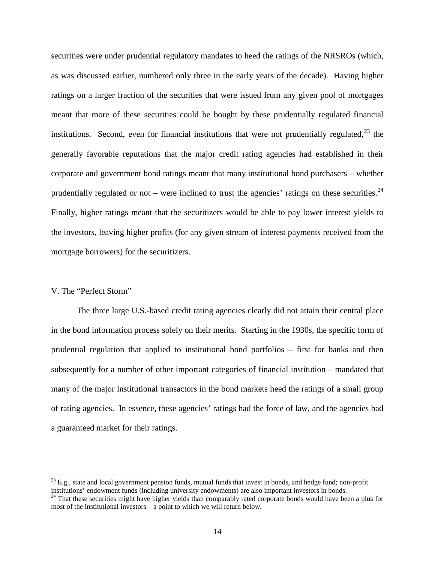securities were under prudential regulatory mandates to heed the ratings of the NRSROs (which, as was discussed earlier, numbered only three in the early years of the decade). Having higher ratings on a larger fraction of the securities that were issued from any given pool of mortgages meant that more of these securities could be bought by these prudentially regulated financial institutions. Second, even for financial institutions that were not prudentially regulated,  $2^3$  the generally favorable reputations that the major credit rating agencies had established in their corporate and government bond ratings meant that many institutional bond purchasers – whether prudentially regulated or not – were inclined to trust the agencies' ratings on these securities.  $^{24}$  $^{24}$  $^{24}$ Finally, higher ratings meant that the securitizers would be able to pay lower interest yields to the investors, leaving higher profits (for any given stream of interest payments received from the mortgage borrowers) for the securitizers.

## V. The "Perfect Storm"

The three large U.S.-based credit rating agencies clearly did not attain their central place in the bond information process solely on their merits. Starting in the 1930s, the specific form of prudential regulation that applied to institutional bond portfolios – first for banks and then subsequently for a number of other important categories of financial institution – mandated that many of the major institutional transactors in the bond markets heed the ratings of a small group of rating agencies. In essence, these agencies' ratings had the force of law, and the agencies had a guaranteed market for their ratings.

<span id="page-13-0"></span> $^{23}$  E.g., state and local government pension funds, mutual funds that invest in bonds, and hedge fund; non-profit institutions' endowment funds (including university endowments) are also important investors in bonds.

<span id="page-13-1"></span><sup>&</sup>lt;sup>24</sup> That these securities might have higher yields than comparably rated corporate bonds would have been a plus for most of the institutional investors – a point to which we will return below.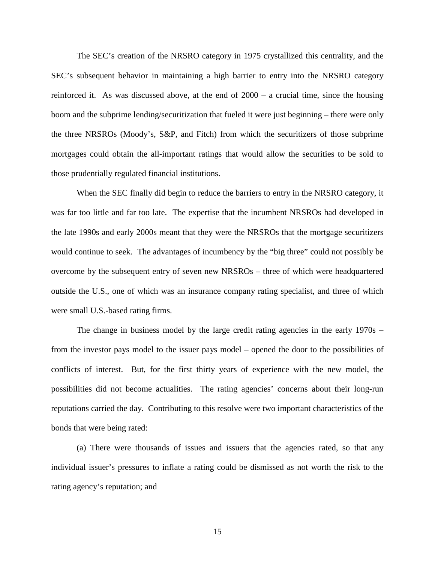The SEC's creation of the NRSRO category in 1975 crystallized this centrality, and the SEC's subsequent behavior in maintaining a high barrier to entry into the NRSRO category reinforced it. As was discussed above, at the end of 2000 – a crucial time, since the housing boom and the subprime lending/securitization that fueled it were just beginning – there were only the three NRSROs (Moody's, S&P, and Fitch) from which the securitizers of those subprime mortgages could obtain the all-important ratings that would allow the securities to be sold to those prudentially regulated financial institutions.

When the SEC finally did begin to reduce the barriers to entry in the NRSRO category, it was far too little and far too late. The expertise that the incumbent NRSROs had developed in the late 1990s and early 2000s meant that they were the NRSROs that the mortgage securitizers would continue to seek. The advantages of incumbency by the "big three" could not possibly be overcome by the subsequent entry of seven new NRSROs – three of which were headquartered outside the U.S., one of which was an insurance company rating specialist, and three of which were small U.S.-based rating firms.

The change in business model by the large credit rating agencies in the early 1970s – from the investor pays model to the issuer pays model – opened the door to the possibilities of conflicts of interest. But, for the first thirty years of experience with the new model, the possibilities did not become actualities. The rating agencies' concerns about their long-run reputations carried the day. Contributing to this resolve were two important characteristics of the bonds that were being rated:

(a) There were thousands of issues and issuers that the agencies rated, so that any individual issuer's pressures to inflate a rating could be dismissed as not worth the risk to the rating agency's reputation; and

15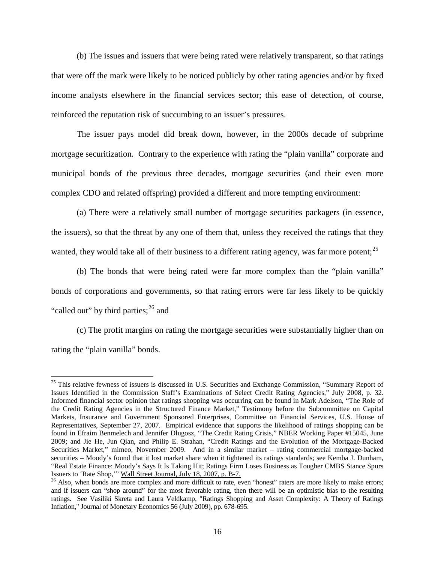(b) The issues and issuers that were being rated were relatively transparent, so that ratings that were off the mark were likely to be noticed publicly by other rating agencies and/or by fixed income analysts elsewhere in the financial services sector; this ease of detection, of course, reinforced the reputation risk of succumbing to an issuer's pressures.

The issuer pays model did break down, however, in the 2000s decade of subprime mortgage securitization. Contrary to the experience with rating the "plain vanilla" corporate and municipal bonds of the previous three decades, mortgage securities (and their even more complex CDO and related offspring) provided a different and more tempting environment:

(a) There were a relatively small number of mortgage securities packagers (in essence, the issuers), so that the threat by any one of them that, unless they received the ratings that they wanted, they would take all of their business to a different rating agency, was far more potent;<sup>[25](#page-15-0)</sup>

(b) The bonds that were being rated were far more complex than the "plain vanilla" bonds of corporations and governments, so that rating errors were far less likely to be quickly "called out" by third parties; $^{26}$  $^{26}$  $^{26}$  and

(c) The profit margins on rating the mortgage securities were substantially higher than on rating the "plain vanilla" bonds.

<span id="page-15-0"></span><sup>&</sup>lt;sup>25</sup> This relative fewness of issuers is discussed in U.S. Securities and Exchange Commission, "Summary Report of Issues Identified in the Commission Staff's Examinations of Select Credit Rating Agencies," July 2008, p. 32. Informed financial sector opinion that ratings shopping was occurring can be found in Mark Adelson, "The Role of the Credit Rating Agencies in the Structured Finance Market," Testimony before the Subcommittee on Capital Markets, Insurance and Government Sponsored Enterprises, Committee on Financial Services, U.S. House of Representatives, September 27, 2007. Empirical evidence that supports the likelihood of ratings shopping can be found in Efraim Benmelech and Jennifer Dlugosz, "The Credit Rating Crisis," NBER Working Paper #15045, June 2009; and Jie He, Jun Qian, and Philip E. Strahan, "Credit Ratings and the Evolution of the Mortgage-Backed Securities Market," mimeo, November 2009. And in a similar market – rating commercial mortgage-backed securities – Moody's found that it lost market share when it tightened its ratings standards; see Kemba J. Dunham, "Real Estate Finance: Moody's Says It Is Taking Hit; Ratings Firm Loses Business as Tougher CMBS Stance Spurs Issuers to 'Rate Shop,'" Wall Street Journal, July 18, 2007, p. B-7.

<span id="page-15-1"></span> $^{26}$  Also, when bonds are more complex and more difficult to rate, even "honest" raters are more likely to make errors; and if issuers can "shop around" for the most favorable rating, then there will be an optimistic bias to the resulting ratings. See Vasiliki Skreta and Laura Veldkamp, "Ratings Shopping and Asset Complexity: A Theory of Ratings Inflation," Journal of Monetary Economics 56 (July 2009), pp. 678-695.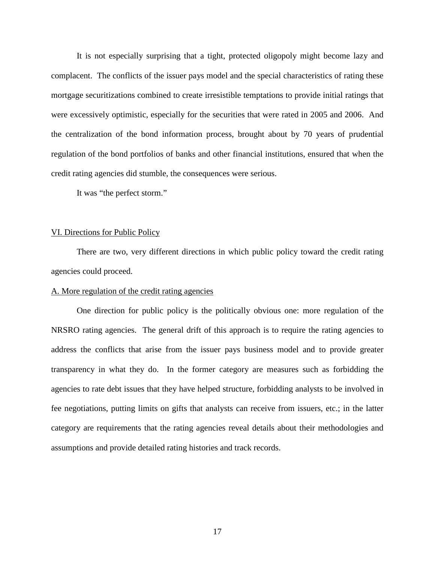It is not especially surprising that a tight, protected oligopoly might become lazy and complacent. The conflicts of the issuer pays model and the special characteristics of rating these mortgage securitizations combined to create irresistible temptations to provide initial ratings that were excessively optimistic, especially for the securities that were rated in 2005 and 2006. And the centralization of the bond information process, brought about by 70 years of prudential regulation of the bond portfolios of banks and other financial institutions, ensured that when the credit rating agencies did stumble, the consequences were serious.

It was "the perfect storm."

### VI. Directions for Public Policy

There are two, very different directions in which public policy toward the credit rating agencies could proceed.

## A. More regulation of the credit rating agencies

One direction for public policy is the politically obvious one: more regulation of the NRSRO rating agencies. The general drift of this approach is to require the rating agencies to address the conflicts that arise from the issuer pays business model and to provide greater transparency in what they do. In the former category are measures such as forbidding the agencies to rate debt issues that they have helped structure, forbidding analysts to be involved in fee negotiations, putting limits on gifts that analysts can receive from issuers, etc.; in the latter category are requirements that the rating agencies reveal details about their methodologies and assumptions and provide detailed rating histories and track records.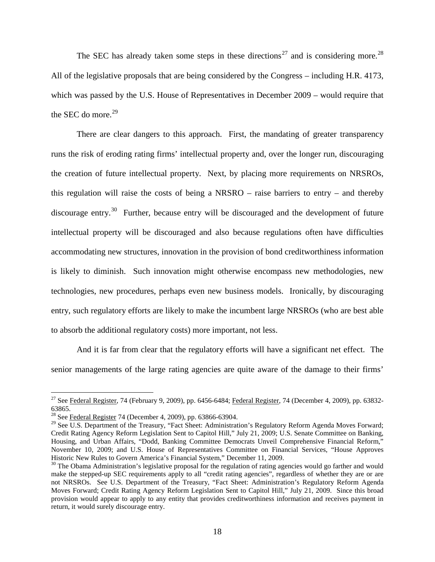The SEC has already taken some steps in these directions<sup>[27](#page-17-0)</sup> and is considering more.<sup>[28](#page-17-1)</sup> All of the legislative proposals that are being considered by the Congress – including H.R. 4173, which was passed by the U.S. House of Representatives in December 2009 – would require that the SEC do more. $29$ 

There are clear dangers to this approach. First, the mandating of greater transparency runs the risk of eroding rating firms' intellectual property and, over the longer run, discouraging the creation of future intellectual property. Next, by placing more requirements on NRSROs, this regulation will raise the costs of being a NRSRO – raise barriers to entry – and thereby discourage entry.<sup>[30](#page-17-3)</sup> Further, because entry will be discouraged and the development of future intellectual property will be discouraged and also because regulations often have difficulties accommodating new structures, innovation in the provision of bond creditworthiness information is likely to diminish. Such innovation might otherwise encompass new methodologies, new technologies, new procedures, perhaps even new business models. Ironically, by discouraging entry, such regulatory efforts are likely to make the incumbent large NRSROs (who are best able to absorb the additional regulatory costs) more important, not less.

And it is far from clear that the regulatory efforts will have a significant net effect. The senior managements of the large rating agencies are quite aware of the damage to their firms'

<span id="page-17-0"></span> $^{27}$  See Federal Register, 74 (February 9, 2009), pp. 6456-6484; Federal Register, 74 (December 4, 2009), pp. 63832-63865.

<span id="page-17-1"></span><sup>&</sup>lt;sup>28</sup> See Federal Register 74 (December 4, 2009), pp. 63866-63904.

<span id="page-17-2"></span><sup>&</sup>lt;sup>29</sup> See U.S. Department of the Treasury, "Fact Sheet: Administration's Regulatory Reform Agenda Moves Forward; Credit Rating Agency Reform Legislation Sent to Capitol Hill," July 21, 2009; U.S. Senate Committee on Banking, Housing, and Urban Affairs, "Dodd, Banking Committee Democrats Unveil Comprehensive Financial Reform," November 10, 2009; and U.S. House of Representatives Committee on Financial Services, "House Approves Historic New Rules to Govern America's Financial System," December 11, 2009.

<span id="page-17-3"></span> $30$  The Obama Administration's legislative proposal for the regulation of rating agencies would go farther and would make the stepped-up SEC requirements apply to all "credit rating agencies", regardless of whether they are or are not NRSROs. See U.S. Department of the Treasury, "Fact Sheet: Administration's Regulatory Reform Agenda Moves Forward; Credit Rating Agency Reform Legislation Sent to Capitol Hill," July 21, 2009. Since this broad provision would appear to apply to any entity that provides creditworthiness information and receives payment in return, it would surely discourage entry.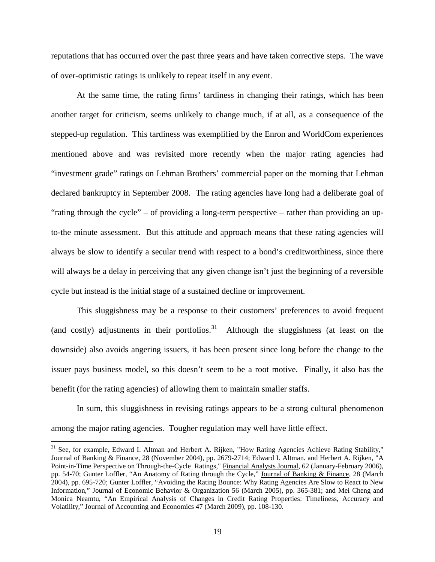reputations that has occurred over the past three years and have taken corrective steps. The wave of over-optimistic ratings is unlikely to repeat itself in any event.

At the same time, the rating firms' tardiness in changing their ratings, which has been another target for criticism, seems unlikely to change much, if at all, as a consequence of the stepped-up regulation. This tardiness was exemplified by the Enron and WorldCom experiences mentioned above and was revisited more recently when the major rating agencies had "investment grade" ratings on Lehman Brothers' commercial paper on the morning that Lehman declared bankruptcy in September 2008. The rating agencies have long had a deliberate goal of "rating through the cycle" – of providing a long-term perspective – rather than providing an upto-the minute assessment. But this attitude and approach means that these rating agencies will always be slow to identify a secular trend with respect to a bond's creditworthiness, since there will always be a delay in perceiving that any given change isn't just the beginning of a reversible cycle but instead is the initial stage of a sustained decline or improvement.

This sluggishness may be a response to their customers' preferences to avoid frequent (and costly) adjustments in their portfolios.<sup>[31](#page-18-0)</sup> Although the sluggishness (at least on the downside) also avoids angering issuers, it has been present since long before the change to the issuer pays business model, so this doesn't seem to be a root motive. Finally, it also has the benefit (for the rating agencies) of allowing them to maintain smaller staffs.

In sum, this sluggishness in revising ratings appears to be a strong cultural phenomenon among the major rating agencies. Tougher regulation may well have little effect.

<span id="page-18-0"></span><sup>&</sup>lt;sup>31</sup> See, for example, Edward I. Altman and Herbert A. Rijken, "How Rating Agencies Achieve Rating Stability," Journal of Banking & Finance, 28 (November 2004), pp. 2679-2714; Edward I. Altman. and Herbert A. Rijken, "A Point-in-Time Perspective on Through-the-Cycle Ratings," Financial Analysts Journal, 62 (January-February 2006), pp. 54-70; Gunter Loffler, "An Anatomy of Rating through the Cycle," Journal of Banking & Finance, 28 (March 2004), pp. 695-720; Gunter Loffler, "Avoiding the Rating Bounce: Why Rating Agencies Are Slow to React to New Information," Journal of Economic Behavior & Organization 56 (March 2005), pp. 365-381; and Mei Cheng and Monica Neamtu, "An Empirical Analysis of Changes in Credit Rating Properties: Timeliness, Accuracy and Volatility," Journal of Accounting and Economics 47 (March 2009), pp. 108-130.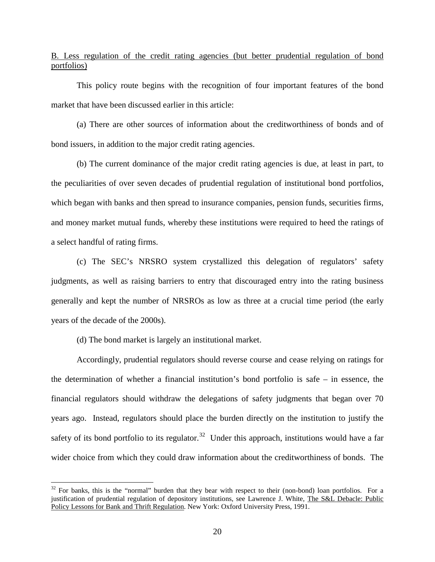B. Less regulation of the credit rating agencies (but better prudential regulation of bond portfolios)

This policy route begins with the recognition of four important features of the bond market that have been discussed earlier in this article:

(a) There are other sources of information about the creditworthiness of bonds and of bond issuers, in addition to the major credit rating agencies.

(b) The current dominance of the major credit rating agencies is due, at least in part, to the peculiarities of over seven decades of prudential regulation of institutional bond portfolios, which began with banks and then spread to insurance companies, pension funds, securities firms, and money market mutual funds, whereby these institutions were required to heed the ratings of a select handful of rating firms.

(c) The SEC's NRSRO system crystallized this delegation of regulators' safety judgments, as well as raising barriers to entry that discouraged entry into the rating business generally and kept the number of NRSROs as low as three at a crucial time period (the early years of the decade of the 2000s).

(d) The bond market is largely an institutional market.

Accordingly, prudential regulators should reverse course and cease relying on ratings for the determination of whether a financial institution's bond portfolio is safe – in essence, the financial regulators should withdraw the delegations of safety judgments that began over 70 years ago. Instead, regulators should place the burden directly on the institution to justify the safety of its bond portfolio to its regulator.<sup>[32](#page-19-0)</sup> Under this approach, institutions would have a far wider choice from which they could draw information about the creditworthiness of bonds. The

<span id="page-19-0"></span> $32$  For banks, this is the "normal" burden that they bear with respect to their (non-bond) loan portfolios. For a justification of prudential regulation of depository institutions, see Lawrence J. White, The S&L Debacle: Public Policy Lessons for Bank and Thrift Regulation. New York: Oxford University Press, 1991.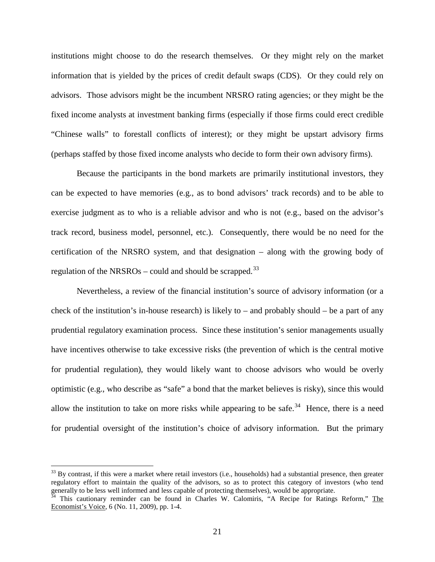institutions might choose to do the research themselves. Or they might rely on the market information that is yielded by the prices of credit default swaps (CDS). Or they could rely on advisors. Those advisors might be the incumbent NRSRO rating agencies; or they might be the fixed income analysts at investment banking firms (especially if those firms could erect credible "Chinese walls" to forestall conflicts of interest); or they might be upstart advisory firms (perhaps staffed by those fixed income analysts who decide to form their own advisory firms).

Because the participants in the bond markets are primarily institutional investors, they can be expected to have memories (e.g., as to bond advisors' track records) and to be able to exercise judgment as to who is a reliable advisor and who is not (e.g., based on the advisor's track record, business model, personnel, etc.). Consequently, there would be no need for the certification of the NRSRO system, and that designation – along with the growing body of regulation of the NRSROs – could and should be scrapped.<sup>[33](#page-20-0)</sup>

Nevertheless, a review of the financial institution's source of advisory information (or a check of the institution's in-house research) is likely to – and probably should – be a part of any prudential regulatory examination process. Since these institution's senior managements usually have incentives otherwise to take excessive risks (the prevention of which is the central motive for prudential regulation), they would likely want to choose advisors who would be overly optimistic (e.g., who describe as "safe" a bond that the market believes is risky), since this would allow the institution to take on more risks while appearing to be safe.<sup>[34](#page-20-1)</sup> Hence, there is a need for prudential oversight of the institution's choice of advisory information. But the primary

<span id="page-20-0"></span> $33$  By contrast, if this were a market where retail investors (i.e., households) had a substantial presence, then greater regulatory effort to maintain the quality of the advisors, so as to protect this category of investors (who tend generally to be less well informed and less capable of protecting themselves), would be appropriate.

<span id="page-20-1"></span> $34$  This cautionary reminder can be found in Charles W. Calomiris, "A Recipe for Ratings Reform," The Economist's Voice, 6 (No. 11, 2009), pp. 1-4.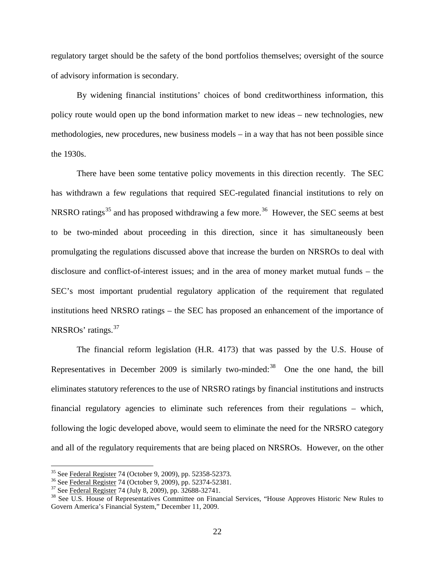regulatory target should be the safety of the bond portfolios themselves; oversight of the source of advisory information is secondary.

By widening financial institutions' choices of bond creditworthiness information, this policy route would open up the bond information market to new ideas – new technologies, new methodologies, new procedures, new business models – in a way that has not been possible since the 1930s.

There have been some tentative policy movements in this direction recently. The SEC has withdrawn a few regulations that required SEC-regulated financial institutions to rely on NRSRO ratings<sup>[35](#page-21-0)</sup> and has proposed withdrawing a few more.<sup>36</sup> However, the SEC seems at best to be two-minded about proceeding in this direction, since it has simultaneously been promulgating the regulations discussed above that increase the burden on NRSROs to deal with disclosure and conflict-of-interest issues; and in the area of money market mutual funds – the SEC's most important prudential regulatory application of the requirement that regulated institutions heed NRSRO ratings – the SEC has proposed an enhancement of the importance of NRSROs' ratings.<sup>[37](#page-21-2)</sup>

The financial reform legislation (H.R. 4173) that was passed by the U.S. House of Representatives in December 2009 is similarly two-minded: $38$  One the one hand, the bill eliminates statutory references to the use of NRSRO ratings by financial institutions and instructs financial regulatory agencies to eliminate such references from their regulations – which, following the logic developed above, would seem to eliminate the need for the NRSRO category and all of the regulatory requirements that are being placed on NRSROs. However, on the other

<span id="page-21-0"></span><sup>&</sup>lt;sup>35</sup> See Federal Register 74 (October 9, 2009), pp. 52358-52373.<br><sup>36</sup> See Federal Register 74 (October 9, 2009), pp. 52374-52381.

<span id="page-21-1"></span>

<span id="page-21-3"></span><span id="page-21-2"></span> $\frac{37}{38}$  See  $\frac{37}{12}$  Eederal Register 74 (July 8, 2009), pp. 32688-32741.<br><sup>38</sup> See U.S. House of Representatives Committee on Financial Services, "House Approves Historic New Rules to Govern America's Financial System," December 11, 2009.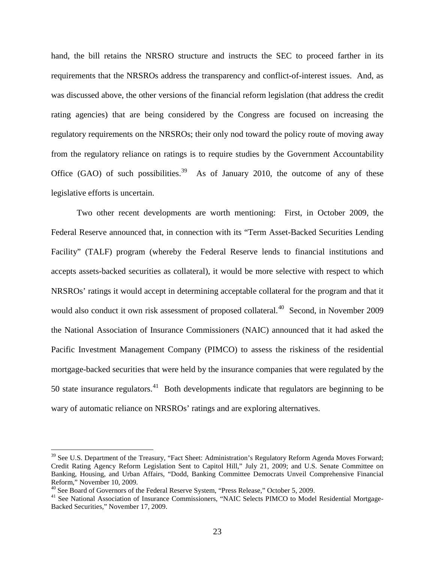hand, the bill retains the NRSRO structure and instructs the SEC to proceed farther in its requirements that the NRSROs address the transparency and conflict-of-interest issues. And, as was discussed above, the other versions of the financial reform legislation (that address the credit rating agencies) that are being considered by the Congress are focused on increasing the regulatory requirements on the NRSROs; their only nod toward the policy route of moving away from the regulatory reliance on ratings is to require studies by the Government Accountability Office  $(GAO)$  of such possibilities.<sup>[39](#page-22-0)</sup> As of January 2010, the outcome of any of these legislative efforts is uncertain.

Two other recent developments are worth mentioning: First, in October 2009, the Federal Reserve announced that, in connection with its "Term Asset-Backed Securities Lending Facility" (TALF) program (whereby the Federal Reserve lends to financial institutions and accepts assets-backed securities as collateral), it would be more selective with respect to which NRSROs' ratings it would accept in determining acceptable collateral for the program and that it would also conduct it own risk assessment of proposed collateral.<sup>[40](#page-22-1)</sup> Second, in November 2009 the National Association of Insurance Commissioners (NAIC) announced that it had asked the Pacific Investment Management Company (PIMCO) to assess the riskiness of the residential mortgage-backed securities that were held by the insurance companies that were regulated by the 50 state insurance regulators. $^{41}$  $^{41}$  $^{41}$  Both developments indicate that regulators are beginning to be wary of automatic reliance on NRSROs' ratings and are exploring alternatives.

<span id="page-22-0"></span><sup>&</sup>lt;sup>39</sup> See U.S. Department of the Treasury, "Fact Sheet: Administration's Regulatory Reform Agenda Moves Forward; Credit Rating Agency Reform Legislation Sent to Capitol Hill," July 21, 2009; and U.S. Senate Committee on Banking, Housing, and Urban Affairs, "Dodd, Banking Committee Democrats Unveil Comprehensive Financial Reform," November 10, 2009.<br><sup>40</sup> See Board of Governors of the Federal Reserve System, "Press Release," October 5, 2009.

<span id="page-22-2"></span><span id="page-22-1"></span><sup>&</sup>lt;sup>41</sup> See National Association of Insurance Commissioners, "NAIC Selects PIMCO to Model Residential Mortgage-Backed Securities," November 17, 2009.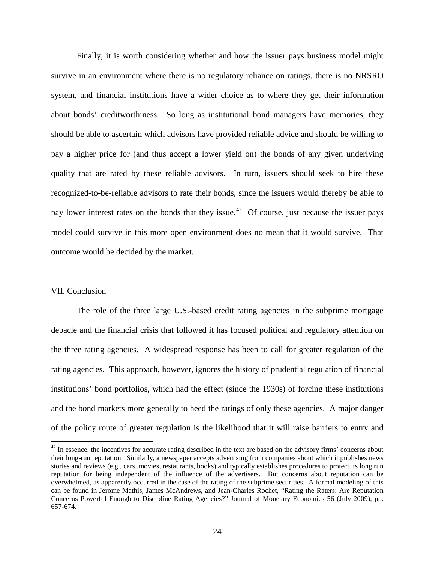Finally, it is worth considering whether and how the issuer pays business model might survive in an environment where there is no regulatory reliance on ratings, there is no NRSRO system, and financial institutions have a wider choice as to where they get their information about bonds' creditworthiness. So long as institutional bond managers have memories, they should be able to ascertain which advisors have provided reliable advice and should be willing to pay a higher price for (and thus accept a lower yield on) the bonds of any given underlying quality that are rated by these reliable advisors. In turn, issuers should seek to hire these recognized-to-be-reliable advisors to rate their bonds, since the issuers would thereby be able to pay lower interest rates on the bonds that they issue.<sup>42</sup> Of course, just because the issuer pays model could survive in this more open environment does no mean that it would survive. That outcome would be decided by the market.

## VII. Conclusion

The role of the three large U.S.-based credit rating agencies in the subprime mortgage debacle and the financial crisis that followed it has focused political and regulatory attention on the three rating agencies. A widespread response has been to call for greater regulation of the rating agencies. This approach, however, ignores the history of prudential regulation of financial institutions' bond portfolios, which had the effect (since the 1930s) of forcing these institutions and the bond markets more generally to heed the ratings of only these agencies. A major danger of the policy route of greater regulation is the likelihood that it will raise barriers to entry and

<span id="page-23-0"></span> $42$  In essence, the incentives for accurate rating described in the text are based on the advisory firms' concerns about their long-run reputation. Similarly, a newspaper accepts advertising from companies about which it publishes news stories and reviews (e.g., cars, movies, restaurants, books) and typically establishes procedures to protect its long run reputation for being independent of the influence of the advertisers. But concerns about reputation can be overwhelmed, as apparently occurred in the case of the rating of the subprime securities. A formal modeling of this can be found in Jerome Mathis, James McAndrews, and Jean-Charles Rochet, "Rating the Raters: Are Reputation Concerns Powerful Enough to Discipline Rating Agencies?" Journal of Monetary Economics 56 (July 2009), pp. 657-674.